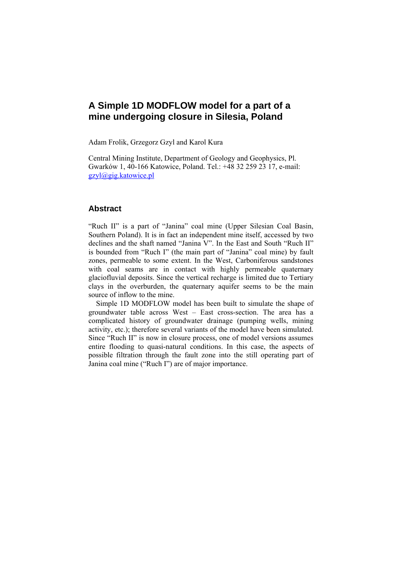# **A Simple 1D MODFLOW model for a part of a mine undergoing closure in Silesia, Poland**

Adam Frolik, Grzegorz Gzyl and Karol Kura

Central Mining Institute, Department of Geology and Geophysics, Pl. Gwarków 1, 40-166 Katowice, Poland. Tel.: +48 32 259 23 17, e-mail: gzyl@gig.katowice.pl

## **Abstract**

"Ruch II" is a part of "Janina" coal mine (Upper Silesian Coal Basin, Southern Poland). It is in fact an independent mine itself, accessed by two declines and the shaft named "Janina V". In the East and South "Ruch II" is bounded from "Ruch I" (the main part of "Janina" coal mine) by fault zones, permeable to some extent. In the West, Carboniferous sandstones with coal seams are in contact with highly permeable quaternary glaciofluvial deposits. Since the vertical recharge is limited due to Tertiary clays in the overburden, the quaternary aquifer seems to be the main source of inflow to the mine.

Simple 1D MODFLOW model has been built to simulate the shape of groundwater table across West – East cross-section. The area has a complicated history of groundwater drainage (pumping wells, mining activity, etc.); therefore several variants of the model have been simulated. Since "Ruch II" is now in closure process, one of model versions assumes entire flooding to quasi-natural conditions. In this case, the aspects of possible filtration through the fault zone into the still operating part of Janina coal mine ("Ruch I") are of major importance.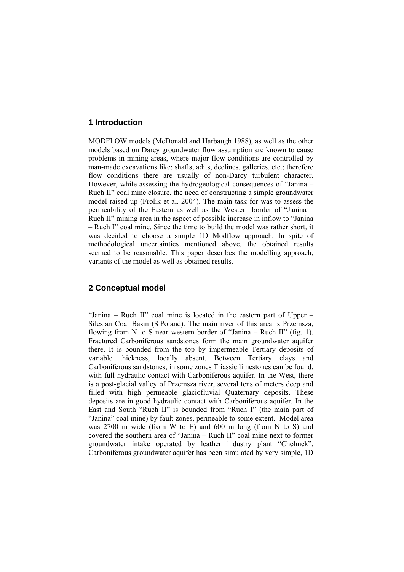## **1 Introduction**

MODFLOW models (McDonald and Harbaugh 1988), as well as the other models based on Darcy groundwater flow assumption are known to cause problems in mining areas, where major flow conditions are controlled by man-made excavations like: shafts, adits, declines, galleries, etc.; therefore flow conditions there are usually of non-Darcy turbulent character. However, while assessing the hydrogeological consequences of "Janina – Ruch II" coal mine closure, the need of constructing a simple groundwater model raised up (Frolik et al. 2004). The main task for was to assess the permeability of the Eastern as well as the Western border of "Janina – Ruch II" mining area in the aspect of possible increase in inflow to "Janina – Ruch I" coal mine. Since the time to build the model was rather short, it was decided to choose a simple 1D Modflow approach. In spite of methodological uncertainties mentioned above, the obtained results seemed to be reasonable. This paper describes the modelling approach, variants of the model as well as obtained results.

# **2 Conceptual model**

"Janina – Ruch II" coal mine is located in the eastern part of Upper – Silesian Coal Basin (S Poland). The main river of this area is Przemsza, flowing from N to S near western border of "Janina – Ruch II" (fig. 1). Fractured Carboniferous sandstones form the main groundwater aquifer there. It is bounded from the top by impermeable Tertiary deposits of variable thickness, locally absent. Between Tertiary clays and Carboniferous sandstones, in some zones Triassic limestones can be found, with full hydraulic contact with Carboniferous aquifer. In the West, there is a post-glacial valley of Przemsza river, several tens of meters deep and filled with high permeable glaciofluvial Quaternary deposits. These deposits are in good hydraulic contact with Carboniferous aquifer. In the East and South "Ruch II" is bounded from "Ruch I" (the main part of "Janina" coal mine) by fault zones, permeable to some extent. Model area was 2700 m wide (from W to E) and 600 m long (from N to S) and covered the southern area of "Janina – Ruch II" coal mine next to former groundwater intake operated by leather industry plant "Chełmek". Carboniferous groundwater aquifer has been simulated by very simple, 1D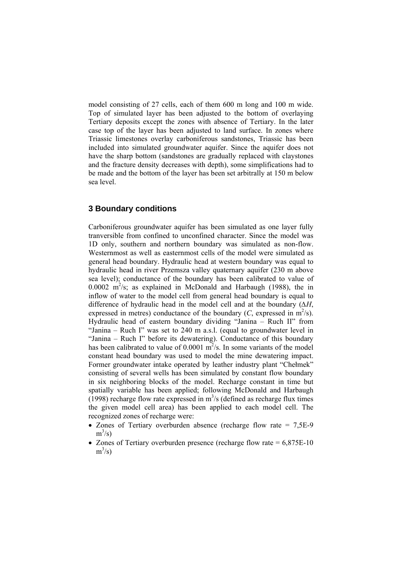model consisting of 27 cells, each of them 600 m long and 100 m wide. Top of simulated layer has been adjusted to the bottom of overlaying Tertiary deposits except the zones with absence of Tertiary. In the later case top of the layer has been adjusted to land surface. In zones where Triassic limestones overlay carboniferous sandstones, Triassic has been included into simulated groundwater aquifer. Since the aquifer does not have the sharp bottom (sandstones are gradually replaced with claystones and the fracture density decreases with depth), some simplifications had to be made and the bottom of the layer has been set arbitrally at 150 m below sea level.

## **3 Boundary conditions**

Carboniferous groundwater aquifer has been simulated as one layer fully tranversible from confined to unconfined character. Since the model was 1D only, southern and northern boundary was simulated as non-flow. Westernmost as well as easternmost cells of the model were simulated as general head boundary. Hydraulic head at western boundary was equal to hydraulic head in river Przemsza valley quaternary aquifer (230 m above sea level); conductance of the boundary has been calibrated to value of  $0.0002$  m<sup>2</sup>/s; as explained in McDonald and Harbaugh (1988), the in inflow of water to the model cell from general head boundary is equal to difference of hydraulic head in the model cell and at the boundary (*∆H*, expressed in metres) conductance of the boundary  $(C,$  expressed in  $m^2/s$ . Hydraulic head of eastern boundary dividing "Janina – Ruch II" from "Janina – Ruch I" was set to 240 m a.s.l. (equal to groundwater level in "Janina – Ruch I" before its dewatering). Conductance of this boundary has been calibrated to value of  $0.0001 \text{ m}^2/\text{s}$ . In some variants of the model constant head boundary was used to model the mine dewatering impact. Former groundwater intake operated by leather industry plant "Chełmek" consisting of several wells has been simulated by constant flow boundary in six neighboring blocks of the model. Recharge constant in time but spatially variable has been applied; following McDonald and Harbaugh  $(1998)$  recharge flow rate expressed in m<sup>3</sup>/s (defined as recharge flux times the given model cell area) has been applied to each model cell. The recognized zones of recharge were:

- Zones of Tertiary overburden absence (recharge flow rate = 7.5E-9)  $m^3/s$ )
- Zones of Tertiary overburden presence (recharge flow rate  $= 6.875E-10$  $m^3/s$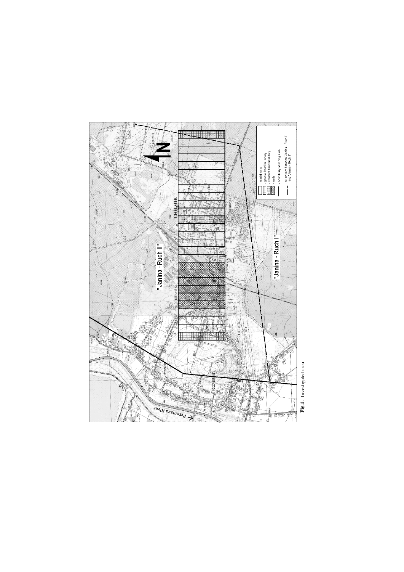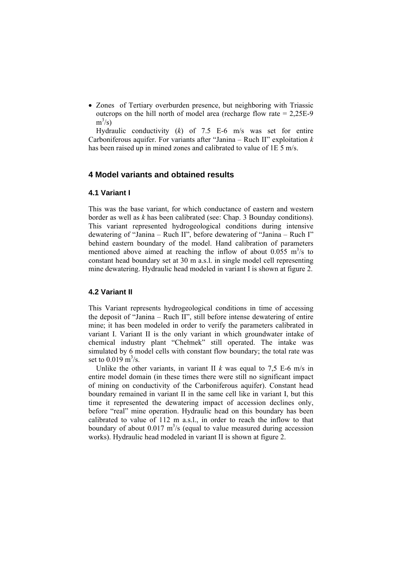• Zones of Tertiary overburden presence, but neighboring with Triassic outcrops on the hill north of model area (recharge flow rate = 2,25E-9  $m^3/s$ )

Hydraulic conductivity (*k*) of 7.5 E-6 m/s was set for entire Carboniferous aquifer. For variants after "Janina – Ruch II" exploitation *k* has been raised up in mined zones and calibrated to value of 1E 5 m/s.

# **4 Model variants and obtained results**

### **4.1 Variant I**

This was the base variant, for which conductance of eastern and western border as well as *k* has been calibrated (see: Chap. 3 Bounday conditions). This variant represented hydrogeological conditions during intensive dewatering of "Janina – Ruch II", before dewatering of "Janina – Ruch I" behind eastern boundary of the model. Hand calibration of parameters mentioned above aimed at reaching the inflow of about  $0.055 \text{ m}^3/\text{s}$  to constant head boundary set at 30 m a.s.l. in single model cell representing mine dewatering. Hydraulic head modeled in variant I is shown at figure 2.

#### **4.2 Variant II**

This Variant represents hydrogeological conditions in time of accessing the deposit of "Janina – Ruch II", still before intense dewatering of entire mine; it has been modeled in order to verify the parameters calibrated in variant I. Variant II is the only variant in which groundwater intake of chemical industry plant "Chełmek" still operated. The intake was simulated by 6 model cells with constant flow boundary; the total rate was set to  $0.019 \,\mathrm{m}^3/\mathrm{s}$ .

Unlike the other variants, in variant II  $k$  was equal to 7.5 E-6 m/s in entire model domain (in these times there were still no significant impact of mining on conductivity of the Carboniferous aquifer). Constant head boundary remained in variant II in the same cell like in variant I, but this time it represented the dewatering impact of accession declines only, before "real" mine operation. Hydraulic head on this boundary has been calibrated to value of 112 m a.s.l., in order to reach the inflow to that boundary of about  $0.017 \text{ m}^3$ /s (equal to value measured during accession works). Hydraulic head modeled in variant II is shown at figure 2.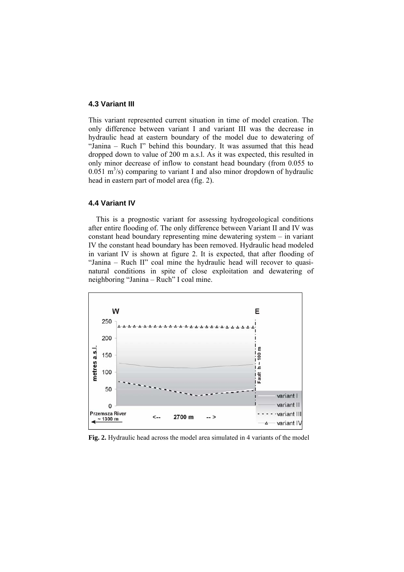### **4.3 Variant III**

This variant represented current situation in time of model creation. The only difference between variant I and variant III was the decrease in hydraulic head at eastern boundary of the model due to dewatering of "Janina – Ruch I" behind this boundary. It was assumed that this head dropped down to value of 200 m a.s.l. As it was expected, this resulted in only minor decrease of inflow to constant head boundary (from 0.055 to  $0.051 \text{ m}^3$ /s) comparing to variant I and also minor dropdown of hydraulic head in eastern part of model area (fig. 2).

#### **4.4 Variant IV**

This is a prognostic variant for assessing hydrogeological conditions after entire flooding of. The only difference between Variant II and IV was constant head boundary representing mine dewatering system – in variant IV the constant head boundary has been removed. Hydraulic head modeled in variant IV is shown at figure 2. It is expected, that after flooding of "Janina – Ruch II" coal mine the hydraulic head will recover to quasinatural conditions in spite of close exploitation and dewatering of neighboring "Janina – Ruch" I coal mine.



**Fig. 2.** Hydraulic head across the model area simulated in 4 variants of the model